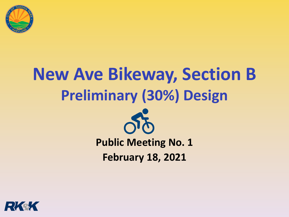

# **New Ave Bikeway, Section B Preliminary (30%) Design**



#### **Public Meeting No. 1 February 18, 2021**

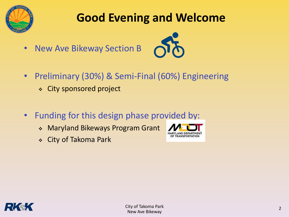

### **Good Evening and Welcome**

• New Ave Bikeway Section B



- Preliminary (30%) & Semi-Final (60%) Engineering
	- ❖ City sponsored project
- Funding for this design phase provided by:
	- ❖ Maryland Bikeways Program Grant
	- ❖ City of Takoma Park



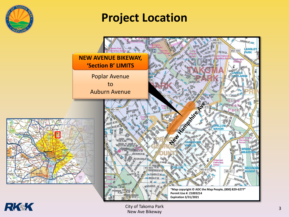

#### **Project Location**





City of Takoma Park New Ave Bikeway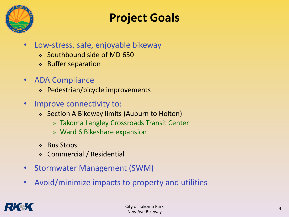

#### **Project Goals**

- Low-stress, safe, enjoyable bikeway
	- ❖ Southbound side of MD 650
	- ❖ Buffer separation
- ADA Compliance
	- ❖ Pedestrian/bicycle improvements
- Improve connectivity to:
	- ❖ Section A Bikeway limits (Auburn to Holton)
		- ➢ Takoma Langley Crossroads Transit Center
		- $\triangleright$  Ward 6 Bikeshare expansion
	- ❖ Bus Stops
	- ❖ Commercial / Residential
- Stormwater Management (SWM)
- Avoid/minimize impacts to property and utilities

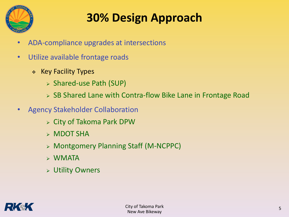

### **30% Design Approach**

- ADA-compliance upgrades at intersections
- Utilize available frontage roads
	- ❖ Key Facility Types
		- ➢ Shared-use Path (SUP)
		- ➢ SB Shared Lane with Contra-flow Bike Lane in Frontage Road
- Agency Stakeholder Collaboration
	- ➢ City of Takoma Park DPW
	- ➢ MDOT SHA
	- ➢ Montgomery Planning Staff (M-NCPPC)
	- ➢ WMATA
	- ➢ Utility Owners

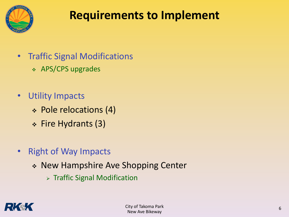

#### **Requirements to Implement**

- Traffic Signal Modifications
	- ❖ APS/CPS upgrades
- Utility Impacts
	- ❖ Pole relocations (4)
	- ❖ Fire Hydrants (3)
- Right of Way Impacts
	- ❖ New Hampshire Ave Shopping Center
		- ➢ Traffic Signal Modification

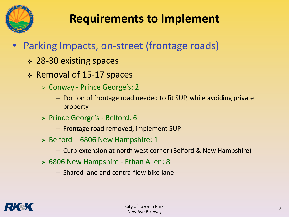

#### **Requirements to Implement**

- Parking Impacts, on-street (frontage roads)
	- ❖ 28-30 existing spaces
	- ❖ Removal of 15-17 spaces
		- ➢ Conway Prince George's: 2
			- Portion of frontage road needed to fit SUP, while avoiding private property
		- ➢ Prince George's Belford: 6
			- Frontage road removed, implement SUP
		- $\ge$  Belford 6806 New Hampshire: 1
			- Curb extension at north west corner (Belford & New Hampshire)
		- ➢ 6806 New Hampshire Ethan Allen: 8
			- Shared lane and contra-flow bike lane

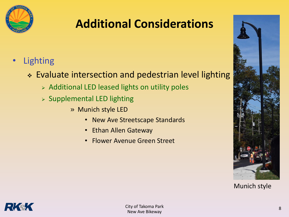

#### **Additional Considerations**

- **Lighting** 
	- ❖ Evaluate intersection and pedestrian level lighting
		- ➢ Additional LED leased lights on utility poles
		- ➢ Supplemental LED lighting
			- » Munich style LED
				- New Ave Streetscape Standards
				- Ethan Allen Gateway
				- Flower Avenue Green Street



Munich style

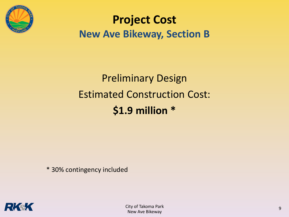

#### **Project Cost New Ave Bikeway, Section B**

# Preliminary Design Estimated Construction Cost: **\$1.9 million \***

\* 30% contingency included

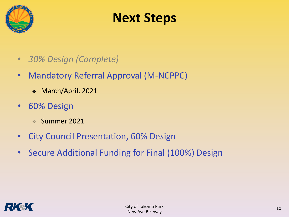

# **Next Steps**

- *30% Design (Complete)*
- Mandatory Referral Approval (M-NCPPC)
	- ❖ March/April, 2021
- 60% Design
	- ❖ Summer 2021
- City Council Presentation, 60% Design
- Secure Additional Funding for Final (100%) Design

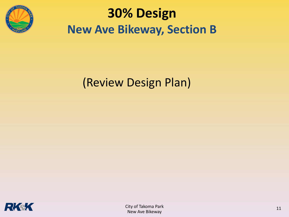

# **30% Design New Ave Bikeway, Section B**

### (Review Design Plan)